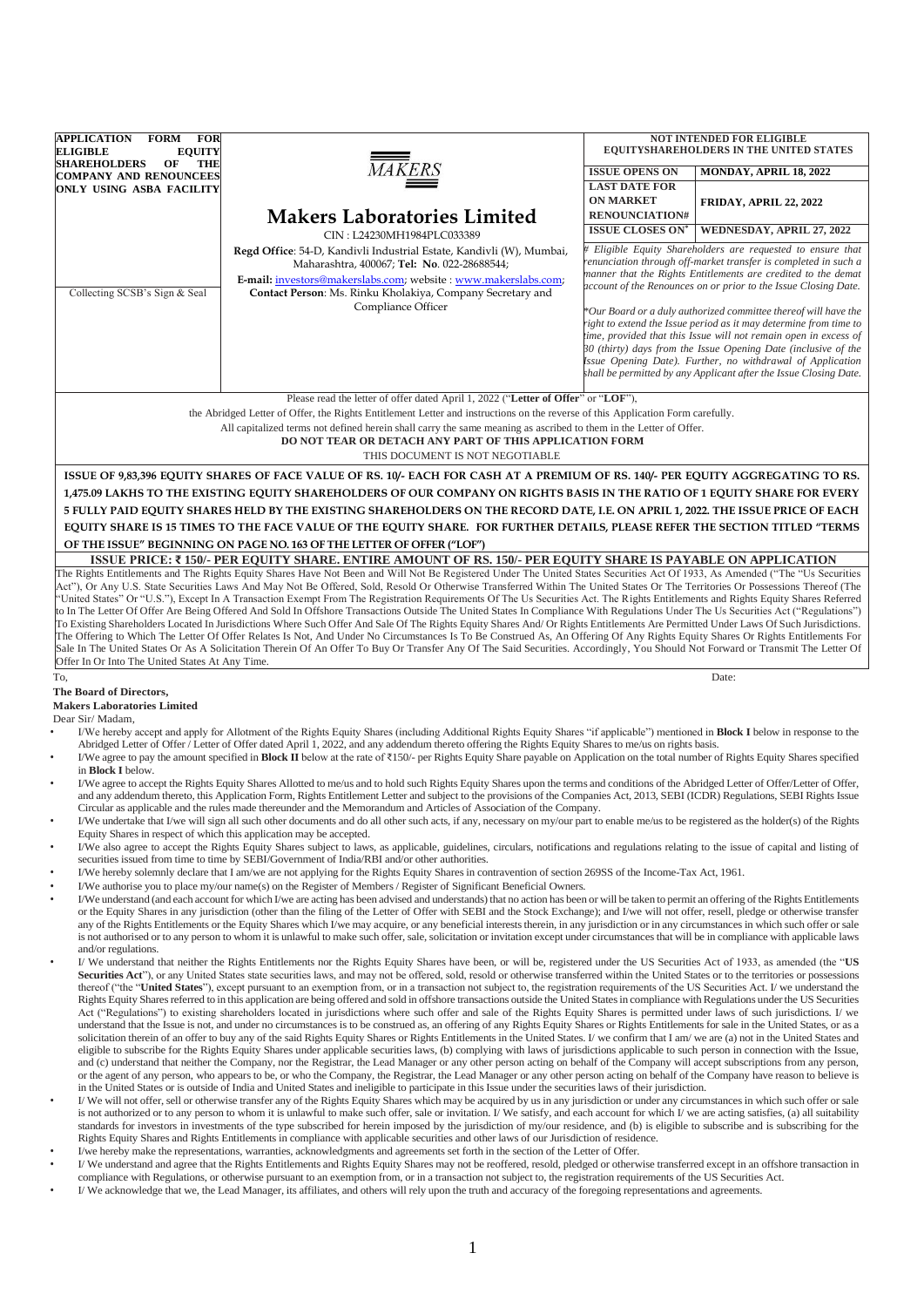| <b>APPLICATION</b><br>FORM FOR                                              |                                                                                                                                                                                                                                                                                                                                                                                                                                                                                                                                                                                  |                                          | <b>NOT INTENDED FOR ELIGIBLE</b>                                                                                                   |
|-----------------------------------------------------------------------------|----------------------------------------------------------------------------------------------------------------------------------------------------------------------------------------------------------------------------------------------------------------------------------------------------------------------------------------------------------------------------------------------------------------------------------------------------------------------------------------------------------------------------------------------------------------------------------|------------------------------------------|------------------------------------------------------------------------------------------------------------------------------------|
| <b>ELIGIBLE</b><br><b>EQUITY</b><br><b>SHAREHOLDERS</b><br><b>THE</b><br>OF |                                                                                                                                                                                                                                                                                                                                                                                                                                                                                                                                                                                  |                                          | <b>EQUITYSHAREHOLDERS IN THE UNITED STATES</b>                                                                                     |
| <b>COMPANY AND RENOUNCEES</b>                                               | <b>MAKERS</b>                                                                                                                                                                                                                                                                                                                                                                                                                                                                                                                                                                    | <b>ISSUE OPENS ON</b>                    | MONDAY, APRIL 18, 2022                                                                                                             |
| ONLY USING ASBA FACILITY                                                    |                                                                                                                                                                                                                                                                                                                                                                                                                                                                                                                                                                                  | <b>LAST DATE FOR</b><br><b>ON MARKET</b> |                                                                                                                                    |
|                                                                             | <b>Makers Laboratories Limited</b>                                                                                                                                                                                                                                                                                                                                                                                                                                                                                                                                               | <b>RENOUNCIATION#</b>                    | <b>FRIDAY, APRIL 22, 2022</b>                                                                                                      |
|                                                                             |                                                                                                                                                                                                                                                                                                                                                                                                                                                                                                                                                                                  | <b>ISSUE CLOSES ON</b>                   | WEDNESDAY, APRIL 27, 2022                                                                                                          |
|                                                                             | CIN: L24230MH1984PLC033389<br>Regd Office: 54-D, Kandivli Industrial Estate, Kandivli (W), Mumbai,                                                                                                                                                                                                                                                                                                                                                                                                                                                                               |                                          | Eligible Equity Shareholders are requested to ensure that                                                                          |
|                                                                             | Maharashtra, 400067; Tel: No. 022-28688544;                                                                                                                                                                                                                                                                                                                                                                                                                                                                                                                                      |                                          | renunciation through off-market transfer is completed in such a                                                                    |
|                                                                             | E-mail: investors@makerslabs.com; website : www.makerslabs.com;                                                                                                                                                                                                                                                                                                                                                                                                                                                                                                                  |                                          | manner that the Rights Entitlements are credited to the demat                                                                      |
| Collecting SCSB's Sign & Seal                                               | Contact Person: Ms. Rinku Kholakiya, Company Secretary and                                                                                                                                                                                                                                                                                                                                                                                                                                                                                                                       |                                          | account of the Renounces on or prior to the Issue Closing Date.                                                                    |
|                                                                             | Compliance Officer                                                                                                                                                                                                                                                                                                                                                                                                                                                                                                                                                               |                                          | *Our Board or a duly authorized committee thereof will have the                                                                    |
|                                                                             |                                                                                                                                                                                                                                                                                                                                                                                                                                                                                                                                                                                  |                                          | ight to extend the Issue period as it may determine from time to                                                                   |
|                                                                             |                                                                                                                                                                                                                                                                                                                                                                                                                                                                                                                                                                                  |                                          | time, provided that this Issue will not remain open in excess of<br>30 (thirty) days from the Issue Opening Date (inclusive of the |
|                                                                             |                                                                                                                                                                                                                                                                                                                                                                                                                                                                                                                                                                                  |                                          | Issue Opening Date). Further, no withdrawal of Application                                                                         |
|                                                                             |                                                                                                                                                                                                                                                                                                                                                                                                                                                                                                                                                                                  |                                          | shall be permitted by any Applicant after the Issue Closing Date.                                                                  |
|                                                                             | Please read the letter of offer dated April 1, 2022 ("Letter of Offer" or "LOF"),                                                                                                                                                                                                                                                                                                                                                                                                                                                                                                |                                          |                                                                                                                                    |
|                                                                             | the Abridged Letter of Offer, the Rights Entitlement Letter and instructions on the reverse of this Application Form carefully.                                                                                                                                                                                                                                                                                                                                                                                                                                                  |                                          |                                                                                                                                    |
|                                                                             | All capitalized terms not defined herein shall carry the same meaning as ascribed to them in the Letter of Offer.                                                                                                                                                                                                                                                                                                                                                                                                                                                                |                                          |                                                                                                                                    |
|                                                                             | DO NOT TEAR OR DETACH ANY PART OF THIS APPLICATION FORM                                                                                                                                                                                                                                                                                                                                                                                                                                                                                                                          |                                          |                                                                                                                                    |
|                                                                             | THIS DOCUMENT IS NOT NEGOTIABLE                                                                                                                                                                                                                                                                                                                                                                                                                                                                                                                                                  |                                          |                                                                                                                                    |
|                                                                             | ISSUE OF 9,83,396 EQUITY SHARES OF FACE VALUE OF RS. 10/- EACH FOR CASH AT A PREMIUM OF RS. 140/- PER EQUITY AGGREGATING TO RS.                                                                                                                                                                                                                                                                                                                                                                                                                                                  |                                          |                                                                                                                                    |
|                                                                             | 1,475.09 LAKHS TO THE EXISTING EQUITY SHAREHOLDERS OF OUR COMPANY ON RIGHTS BASIS IN THE RATIO OF 1 EQUITY SHARE FOR EVERY                                                                                                                                                                                                                                                                                                                                                                                                                                                       |                                          |                                                                                                                                    |
|                                                                             | 5 FULLY PAID EQUITY SHARES HELD BY THE EXISTING SHAREHOLDERS ON THE RECORD DATE, I.E. ON APRIL 1, 2022. THE ISSUE PRICE OF EACH                                                                                                                                                                                                                                                                                                                                                                                                                                                  |                                          |                                                                                                                                    |
|                                                                             | EQUITY SHARE IS 15 TIMES TO THE FACE VALUE OF THE EQUITY SHARE. FOR FURTHER DETAILS, PLEASE REFER THE SECTION TITLED "TERMS                                                                                                                                                                                                                                                                                                                                                                                                                                                      |                                          |                                                                                                                                    |
|                                                                             | OF THE ISSUE" BEGINNING ON PAGE NO. 163 OF THE LETTER OF OFFER ("LOF")                                                                                                                                                                                                                                                                                                                                                                                                                                                                                                           |                                          |                                                                                                                                    |
|                                                                             | ISSUE PRICE: ₹150/- PER EQUITY SHARE. ENTIRE AMOUNT OF RS. 150/- PER EQUITY SHARE IS PAYABLE ON APPLICATION                                                                                                                                                                                                                                                                                                                                                                                                                                                                      |                                          |                                                                                                                                    |
|                                                                             | The Rights Entitlements and The Rights Equity Shares Have Not Been and Will Not Be Registered Under The United States Securities Act Of 1933, As Amended ("The "Us Securities                                                                                                                                                                                                                                                                                                                                                                                                    |                                          |                                                                                                                                    |
|                                                                             | Act"), Or Any U.S. State Securities Laws And May Not Be Offered, Sold, Resold Or Otherwise Transferred Within The United States Or The Territories Or Possessions Thereof (The                                                                                                                                                                                                                                                                                                                                                                                                   |                                          |                                                                                                                                    |
|                                                                             | 'United States" Or "U.S."), Except In A Transaction Exempt From The Registration Requirements Of The Us Securities Act. The Rights Entitlements and Rights Equity Shares Referred<br>to In The Letter Of Offer Are Being Offered And Sold In Offshore Transactions Outside The United States In Compliance With Regulations Under The Us Securities Act ("Regulations")                                                                                                                                                                                                          |                                          |                                                                                                                                    |
|                                                                             | To Existing Shareholders Located In Jurisdictions Where Such Offer And Sale Of The Rights Equity Shares And/ Or Rights Entitlements Are Permitted Under Laws Of Such Jurisdictions.                                                                                                                                                                                                                                                                                                                                                                                              |                                          |                                                                                                                                    |
|                                                                             | The Offering to Which The Letter Of Offer Relates Is Not, And Under No Circumstances Is To Be Construed As, An Offering Of Any Rights Equity Shares Or Rights Entitlements For                                                                                                                                                                                                                                                                                                                                                                                                   |                                          |                                                                                                                                    |
| Offer In Or Into The United States At Any Time.                             | Sale In The United States Or As A Solicitation Therein Of An Offer To Buy Or Transfer Any Of The Said Securities. Accordingly, You Should Not Forward or Transmit The Letter Of                                                                                                                                                                                                                                                                                                                                                                                                  |                                          |                                                                                                                                    |
| To,                                                                         |                                                                                                                                                                                                                                                                                                                                                                                                                                                                                                                                                                                  |                                          | Date:                                                                                                                              |
| The Board of Directors,                                                     |                                                                                                                                                                                                                                                                                                                                                                                                                                                                                                                                                                                  |                                          |                                                                                                                                    |
| <b>Makers Laboratories Limited</b>                                          |                                                                                                                                                                                                                                                                                                                                                                                                                                                                                                                                                                                  |                                          |                                                                                                                                    |
| Dear Sir/Madam,                                                             |                                                                                                                                                                                                                                                                                                                                                                                                                                                                                                                                                                                  |                                          |                                                                                                                                    |
|                                                                             | I/We hereby accept and apply for Allotment of the Rights Equity Shares (including Additional Rights Equity Shares "if applicable") mentioned in <b>Block I</b> below in response to the<br>Abridged Letter of Offer / Letter of Offer dated April 1, 2022, and any addendum thereto offering the Rights Equity Shares to me/us on rights basis.                                                                                                                                                                                                                                  |                                          |                                                                                                                                    |
| ٠                                                                           | I/We agree to pay the amount specified in Block II below at the rate of ₹150/- per Rights Equity Share payable on Application on the total number of Rights Equity Shares specified                                                                                                                                                                                                                                                                                                                                                                                              |                                          |                                                                                                                                    |
| in Block I below.                                                           |                                                                                                                                                                                                                                                                                                                                                                                                                                                                                                                                                                                  |                                          |                                                                                                                                    |
| $\bullet$                                                                   | I/We agree to accept the Rights Equity Shares Allotted to me/us and to hold such Rights Equity Shares upon the terms and conditions of the Abridged Letter of Offer/Letter of Offer,<br>and any addendum thereto, this Application Form, Rights Entitlement Letter and subject to the provisions of the Companies Act, 2013, SEBI (ICDR) Regulations, SEBI Rights Issue                                                                                                                                                                                                          |                                          |                                                                                                                                    |
|                                                                             | Circular as applicable and the rules made thereunder and the Memorandum and Articles of Association of the Company.                                                                                                                                                                                                                                                                                                                                                                                                                                                              |                                          |                                                                                                                                    |
|                                                                             | I/We undertake that I/we will sign all such other documents and do all other such acts, if any, necessary on my/our part to enable me/us to be registered as the holder(s) of the Rights                                                                                                                                                                                                                                                                                                                                                                                         |                                          |                                                                                                                                    |
| $\bullet$                                                                   | Equity Shares in respect of which this application may be accepted.                                                                                                                                                                                                                                                                                                                                                                                                                                                                                                              |                                          |                                                                                                                                    |
|                                                                             | I/We also agree to accept the Rights Equity Shares subject to laws, as applicable, guidelines, circulars, notifications and regulations relating to the issue of capital and listing of<br>securities issued from time to time by SEBI/Government of India/RBI and/or other authorities.                                                                                                                                                                                                                                                                                         |                                          |                                                                                                                                    |
| $\bullet$                                                                   | I/We hereby solemnly declare that I am/we are not applying for the Rights Equity Shares in contravention of section 269SS of the Income-Tax Act, 1961.                                                                                                                                                                                                                                                                                                                                                                                                                           |                                          |                                                                                                                                    |
|                                                                             | I/We authorise you to place my/our name(s) on the Register of Members / Register of Significant Beneficial Owners.                                                                                                                                                                                                                                                                                                                                                                                                                                                               |                                          |                                                                                                                                    |
|                                                                             | I/We understand (and each account for which I/we are acting has been advised and understands) that no action has been or will be taken to permit an offering of the Rights Entitlements                                                                                                                                                                                                                                                                                                                                                                                          |                                          |                                                                                                                                    |
|                                                                             | or the Equity Shares in any jurisdiction (other than the filing of the Letter of Offer with SEBI and the Stock Exchange); and I/we will not offer, resell, pledge or otherwise transfer<br>any of the Rights Entitlements or the Equity Shares which I/we may acquire, or any beneficial interests therein, in any jurisdiction or in any circumstances in which such offer or sale<br>is not authorised or to any person to whom it is unlawful to make such offer, sale, solicitation or invitation except under circumstances that will be in compliance with applicable laws |                                          |                                                                                                                                    |

- and/or regulations. • I/ We understand that neither the Rights Entitlements nor the Rights Equity Shares have been, or will be, registered under the US Securities Act of 1933, as amended (the "**US**  Securities Act"), or any United States state securities laws, and may not be offered, sold, resold or otherwise transferred within the United States or to the territories or possessions thereof ("the "**United States**"), except pursuant to an exemption from, or in a transaction not subject to, the registration requirements of the US Securities Act. I/ we understand the Rights Equity Shares referred to in this application are being offered and sold in offshore transactions outside the United States in compliance with Regulations under the US Securities Act ("Regulations") to existing shareholders located in jurisdictions where such offer and sale of the Rights Equity Shares is permitted under laws of such jurisdictions. I/ we understand that the Issue is not, and under no circumstances is to be construed as, an offering of any Rights Equity Shares or Rights Entitlements for sale in the United States, or as a solicitation therein of an offer to buy any of the said Rights Equity Shares or Rights Entitlements in the United States. I/ we confirm that I am/ we are (a) not in the United States and eligible to subscribe for the Rights Equity Shares under applicable securities laws, (b) complying with laws of jurisdictions applicable to such person in connection with the Issue, and (c) understand that neither the Company, nor the Registrar, the Lead Manager or any other person acting on behalf of the Company will accept subscriptions from any person, or the agent of any person, who appears to be, or who the Company, the Registrar, the Lead Manager or any other person acting on behalf of the Company have reason to believe is in the United States or is outside of India and United States and ineligible to participate in this Issue under the securities laws of their jurisdiction.
- I/ We will not offer, sell or otherwise transfer any of the Rights Equity Shares which may be acquired by us in any jurisdiction or under any circumstances in which such offer or sale is not authorized or to any person to whom it is unlawful to make such offer, sale or invitation. I/ We satisfy, and each account for which I/ we are acting satisfies, (a) all suitability standards for investors in investments of the type subscribed for herein imposed by the jurisdiction of my/our residence, and (b) is eligible to subscribe and is subscribing for the Rights Equity Shares and Rights Entitlements in compliance with applicable securities and other laws of our Jurisdiction of residence.
- I/we hereby make the representations, warranties, acknowledgments and agreements set forth in the section of the Letter of Offer.
- I/ We understand and agree that the Rights Entitlements and Rights Equity Shares may not be reoffered, resold, pledged or otherwise transferred except in an offshore transaction in compliance with Regulations, or otherwise pursuant to an exemption from, or in a transaction not subject to, the registration requirements of the US Securities Act.
- I/ We acknowledge that we, the Lead Manager, its affiliates, and others will rely upon the truth and accuracy of the foregoing representations and agreements.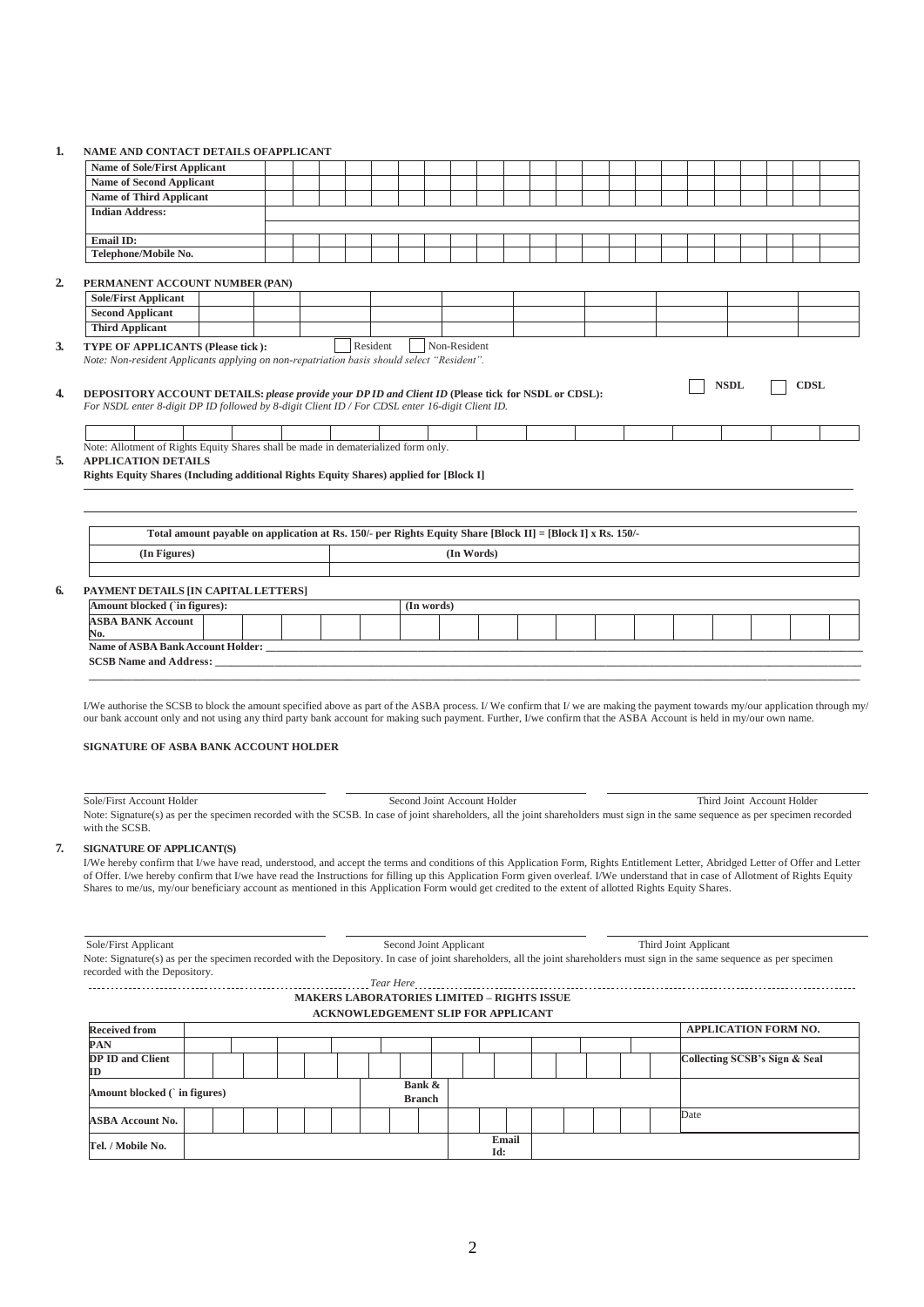| 1. | NAME AND CONTACT DETAILS OFAPPLICANT |  |
|----|--------------------------------------|--|
|    |                                      |  |

| <b>Name of Sole/First Applicant</b>                                                                                                                                                                                                                                                                                                                                                                                                                                                                                                                                                                                                                                                                                                                                                                                                                                                             |  |  |  |  |          |  |            |                             |            |  |  |  |  |                            |  |  |
|-------------------------------------------------------------------------------------------------------------------------------------------------------------------------------------------------------------------------------------------------------------------------------------------------------------------------------------------------------------------------------------------------------------------------------------------------------------------------------------------------------------------------------------------------------------------------------------------------------------------------------------------------------------------------------------------------------------------------------------------------------------------------------------------------------------------------------------------------------------------------------------------------|--|--|--|--|----------|--|------------|-----------------------------|------------|--|--|--|--|----------------------------|--|--|
|                                                                                                                                                                                                                                                                                                                                                                                                                                                                                                                                                                                                                                                                                                                                                                                                                                                                                                 |  |  |  |  |          |  |            |                             |            |  |  |  |  |                            |  |  |
| <b>Name of Second Applicant</b>                                                                                                                                                                                                                                                                                                                                                                                                                                                                                                                                                                                                                                                                                                                                                                                                                                                                 |  |  |  |  |          |  |            |                             |            |  |  |  |  |                            |  |  |
| <b>Name of Third Applicant</b>                                                                                                                                                                                                                                                                                                                                                                                                                                                                                                                                                                                                                                                                                                                                                                                                                                                                  |  |  |  |  |          |  |            |                             |            |  |  |  |  |                            |  |  |
| <b>Indian Address:</b>                                                                                                                                                                                                                                                                                                                                                                                                                                                                                                                                                                                                                                                                                                                                                                                                                                                                          |  |  |  |  |          |  |            |                             |            |  |  |  |  |                            |  |  |
|                                                                                                                                                                                                                                                                                                                                                                                                                                                                                                                                                                                                                                                                                                                                                                                                                                                                                                 |  |  |  |  |          |  |            |                             |            |  |  |  |  |                            |  |  |
| Email ID:                                                                                                                                                                                                                                                                                                                                                                                                                                                                                                                                                                                                                                                                                                                                                                                                                                                                                       |  |  |  |  |          |  |            |                             |            |  |  |  |  |                            |  |  |
| Telephone/Mobile No.                                                                                                                                                                                                                                                                                                                                                                                                                                                                                                                                                                                                                                                                                                                                                                                                                                                                            |  |  |  |  |          |  |            |                             |            |  |  |  |  |                            |  |  |
|                                                                                                                                                                                                                                                                                                                                                                                                                                                                                                                                                                                                                                                                                                                                                                                                                                                                                                 |  |  |  |  |          |  |            |                             |            |  |  |  |  |                            |  |  |
| PERMANENT ACCOUNT NUMBER (PAN)                                                                                                                                                                                                                                                                                                                                                                                                                                                                                                                                                                                                                                                                                                                                                                                                                                                                  |  |  |  |  |          |  |            |                             |            |  |  |  |  |                            |  |  |
| <b>Sole/First Applicant</b>                                                                                                                                                                                                                                                                                                                                                                                                                                                                                                                                                                                                                                                                                                                                                                                                                                                                     |  |  |  |  |          |  |            |                             |            |  |  |  |  |                            |  |  |
| <b>Second Applicant</b>                                                                                                                                                                                                                                                                                                                                                                                                                                                                                                                                                                                                                                                                                                                                                                                                                                                                         |  |  |  |  |          |  |            |                             |            |  |  |  |  |                            |  |  |
| <b>Third Applicant</b>                                                                                                                                                                                                                                                                                                                                                                                                                                                                                                                                                                                                                                                                                                                                                                                                                                                                          |  |  |  |  |          |  |            |                             |            |  |  |  |  |                            |  |  |
| <b>TYPE OF APPLICANTS (Please tick):</b>                                                                                                                                                                                                                                                                                                                                                                                                                                                                                                                                                                                                                                                                                                                                                                                                                                                        |  |  |  |  | Resident |  |            | Non-Resident                |            |  |  |  |  |                            |  |  |
| Note: Allotment of Rights Equity Shares shall be made in dematerialized form only.<br><b>APPLICATION DETAILS</b><br>Rights Equity Shares (Including additional Rights Equity Shares) applied for [Block I]                                                                                                                                                                                                                                                                                                                                                                                                                                                                                                                                                                                                                                                                                      |  |  |  |  |          |  |            |                             |            |  |  |  |  |                            |  |  |
| (In Figures)                                                                                                                                                                                                                                                                                                                                                                                                                                                                                                                                                                                                                                                                                                                                                                                                                                                                                    |  |  |  |  |          |  |            |                             | (In Words) |  |  |  |  |                            |  |  |
|                                                                                                                                                                                                                                                                                                                                                                                                                                                                                                                                                                                                                                                                                                                                                                                                                                                                                                 |  |  |  |  |          |  |            |                             |            |  |  |  |  |                            |  |  |
| Amount blocked (`in figures):                                                                                                                                                                                                                                                                                                                                                                                                                                                                                                                                                                                                                                                                                                                                                                                                                                                                   |  |  |  |  |          |  | (In words) |                             |            |  |  |  |  |                            |  |  |
| <b>ASBA BANK Account</b>                                                                                                                                                                                                                                                                                                                                                                                                                                                                                                                                                                                                                                                                                                                                                                                                                                                                        |  |  |  |  |          |  |            |                             |            |  |  |  |  |                            |  |  |
| No.                                                                                                                                                                                                                                                                                                                                                                                                                                                                                                                                                                                                                                                                                                                                                                                                                                                                                             |  |  |  |  |          |  |            |                             |            |  |  |  |  |                            |  |  |
| Name of ASBA Bank Account Holder: __                                                                                                                                                                                                                                                                                                                                                                                                                                                                                                                                                                                                                                                                                                                                                                                                                                                            |  |  |  |  |          |  |            |                             |            |  |  |  |  |                            |  |  |
| <b>SCSB Name and Address:</b>                                                                                                                                                                                                                                                                                                                                                                                                                                                                                                                                                                                                                                                                                                                                                                                                                                                                   |  |  |  |  |          |  |            |                             |            |  |  |  |  |                            |  |  |
| PAYMENT DETAILS [IN CAPITAL LETTERS]<br>I/We authorise the SCSB to block the amount specified above as part of the ASBA process. I/We confirm that I/we are making the payment towards my/our application through my/<br>our bank account only and not using any third party bank account for making such payment. Further, I/we confirm that the ASBA Account is held in my/our own name.<br>SIGNATURE OF ASBA BANK ACCOUNT HOLDER<br>Sole/First Account Holder<br>Note: Signature(s) as per the specimen recorded with the SCSB. In case of joint shareholders, all the joint shareholders must sign in the same sequence as per specimen recorded<br>with the SCSB.<br><b>SIGNATURE OF APPLICANT(S)</b><br>I/We hereby confirm that I/we have read, understood, and accept the terms and conditions of this Application Form, Rights Entitlement Letter, Abridged Letter of Offer and Letter |  |  |  |  |          |  |            | Second Joint Account Holder |            |  |  |  |  | Third Joint Account Holder |  |  |
| of Offer. I/we hereby confirm that I/we have read the Instructions for filling up this Application Form given overleaf. I/We understand that in case of Allotment of Rights Equity<br>Shares to me/us, my/our beneficiary account as mentioned in this Application Form would get credited to the extent of allotted Rights Equity Shares.                                                                                                                                                                                                                                                                                                                                                                                                                                                                                                                                                      |  |  |  |  |          |  |            |                             |            |  |  |  |  |                            |  |  |

Note: Signature(s) as per the specimen recorded with the Depository. In case of joint shareholders, all the joint shareholders must sign in the same sequence as per specimen recorded with the Depository. *Tear Here* 

| теат пете                                         |  |  |
|---------------------------------------------------|--|--|
| <b>MAKERS LABORATORIES LIMITED – RIGHTS ISSUE</b> |  |  |
| <b>ACKNOWLEDGEMENT SLIP FOR APPLICANT</b>         |  |  |

| <b>Received from</b>         |  |  |  |  |               |     |       |  |  | APPLICATION FORM NO.          |
|------------------------------|--|--|--|--|---------------|-----|-------|--|--|-------------------------------|
| PAN                          |  |  |  |  |               |     |       |  |  |                               |
| DP ID and Client             |  |  |  |  |               |     |       |  |  | Collecting SCSB's Sign & Seal |
| ID                           |  |  |  |  |               |     |       |  |  |                               |
| Amount blocked (`in figures) |  |  |  |  | Bank &        |     |       |  |  |                               |
|                              |  |  |  |  | <b>Branch</b> |     |       |  |  |                               |
| <b>ASBA Account No.</b>      |  |  |  |  |               |     |       |  |  | Date                          |
| Tel. / Mobile No.            |  |  |  |  |               |     | Email |  |  |                               |
|                              |  |  |  |  |               | Id: |       |  |  |                               |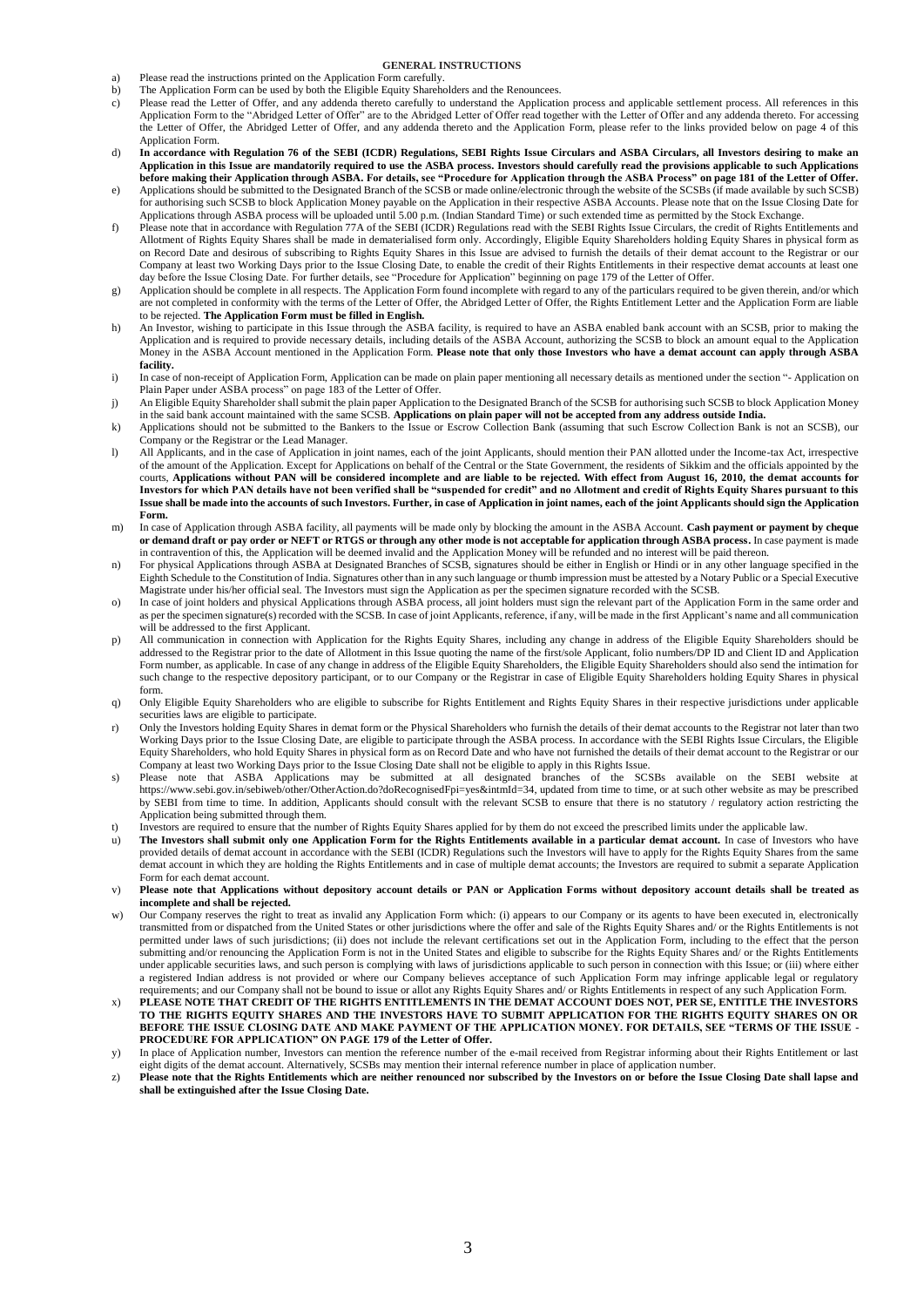## **GENERAL INSTRUCTIONS**

- a) Please read the instructions printed on the Application Form carefully.<br>b) The Application Form can be used by both the Eligible Equity Shareho
- b) The Application Form can be used by both the Eligible Equity Shareholders and the Renouncees.<br>
c) Please read the Letter of Offer, and any addenda thereto carefully to understand the Application
- Please read the Letter of Offer, and any addenda thereto carefully to understand the Application process and applicable settlement process. All references in this Application Form to the "Abridged Letter of Offer" are to the Abridged Letter of Offer read together with the Letter of Offer and any addenda thereto. For accessing the Letter of Offer, the Abridged Letter of Offer, and any addenda thereto and the Application Form, please refer to the links provided below on page 4 of this Application Form.
- d) **In accordance with Regulation 76 of the SEBI (ICDR) Regulations, SEBI Rights Issue Circulars and ASBA Circulars, all Investors desiring to make an Application in this Issue are mandatorily required to use the ASBA process. Investors should carefully read the provisions applicable to such Applications before making their Application through ASBA. For details, see "Procedure for Application through the ASBA Process" on page 181 of the Letter of Offer.**
- e) Applications should be submitted to the Designated Branch of the SCSB or made online/electronic through the website of the SCSBs (if made available by such SCSB) for authorising such SCSB to block Application Money payable on the Application in their respective ASBA Accounts. Please note that on the Issue Closing Date for Applications through ASBA process will be uploaded until 5.00 p.m. (Indian Standard Time) or such extended time as permitted by the Stock Exchange.
- f) Please note that in accordance with Regulation 77A of the SEBI (ICDR) Regulations read with the SEBI Rights Issue Circulars, the credit of Rights Entitlements and Allotment of Rights Equity Shares shall be made in dematerialised form only. Accordingly, Eligible Equity Shareholders holding Equity Shares in physical form as on Record Date and desirous of subscribing to Rights Equity Shares in this Issue are advised to furnish the details of their demat account to the Registrar or our Company at least two Working Days prior to the Issue Closing Date, to enable the credit of their Rights Entitlements in their respective demat accounts at least one day before the Issue Closing Date. For further details, see "Procedure for Application" beginning on page 179 of the Letter of Offer.
- g) Application should be complete in all respects. The Application Form found incomplete with regard to any of the particulars required to be given therein, and/or which are not completed in conformity with the terms of the Letter of Offer, the Abridged Letter of Offer, the Rights Entitlement Letter and the Application Form are liable to be rejected. **The Application Form must be filled in English.**
- h) An Investor, wishing to participate in this Issue through the ASBA facility, is required to have an ASBA enabled bank account with an SCSB, prior to making the Application and is required to provide necessary details, including details of the ASBA Account, authorizing the SCSB to block an amount equal to the Application Money in the ASBA Account mentioned in the Application Form. **Please note that only those Investors who have a demat account can apply through ASBA facility.**
- i) In case of non-receipt of Application Form, Application can be made on plain paper mentioning all necessary details as mentioned under the section "- Application on Plain Paper under ASBA process" on page 183 of the Letter of Offer.
- j) An Eligible Equity Shareholder shall submit the plain paper Application to the Designated Branch of the SCSB for authorising such SCSB to block Application Money in the said bank account maintained with the same SCSB. **Applications on plain paper will not be accepted from any address outside India.**
- k) Applications should not be submitted to the Bankers to the Issue or Escrow Collection Bank (assuming that such Escrow Collection Bank is not an SCSB), our Company or the Registrar or the Lead Manager.
- l) All Applicants, and in the case of Application in joint names, each of the joint Applicants, should mention their PAN allotted under the Income-tax Act, irrespective of the amount of the Application. Except for Applications on behalf of the Central or the State Government, the residents of Sikkim and the officials appointed by the courts, **Applications without PAN will be considered incomplete and are liable to be rejected. With effect from August 16, 2010, the demat accounts for Investors for which PAN details have not been verified shall be "suspended for credit" and no Allotment and credit of Rights Equity Shares pursuant to this Issue shall be made into the accounts of such Investors. Further, in case of Application in joint names, each of the joint Applicants should sign the Application Form.**
- m) In case of Application through ASBA facility, all payments will be made only by blocking the amount in the ASBA Account. **Cash payment or payment by cheque or demand draft or pay order or NEFT or RTGS or through any other mode is not acceptable for application through ASBA process.** In case payment is made in contravention of this, the Application will be deemed invalid and the Application Money will be refunded and no interest will be paid thereon.
- n) For physical Applications through ASBA at Designated Branches of SCSB, signatures should be either in English or Hindi or in any other language specified in the Eighth Schedule to the Constitution of India. Signatures other than in any such language or thumb impression must be attested by a Notary Public or a Special Executive Magistrate under his/her official seal. The Investors must sign the Application as per the specimen signature recorded with the SCSB.
- o) In case of joint holders and physical Applications through ASBA process, all joint holders must sign the relevant part of the Application Form in the same order and as per the specimen signature(s) recorded with the SCSB. In case of joint Applicants, reference, if any, will be made in the first Applicant's name and all communication will be addressed to the first Applicant.
- p) All communication in connection with Application for the Rights Equity Shares, including any change in address of the Eligible Equity Shareholders should be addressed to the Registrar prior to the date of Allotment in this Issue quoting the name of the first/sole Applicant, folio numbers/DP ID and Client ID and Application Form number, as applicable. In case of any change in address of the Eligible Equity Shareholders, the Eligible Equity Shareholders should also send the intimation for such change to the respective depository participant, or to our Company or the Registrar in case of Eligible Equity Shareholders holding Equity Shares in physical form.
- q) Only Eligible Equity Shareholders who are eligible to subscribe for Rights Entitlement and Rights Equity Shares in their respective jurisdictions under applicable securities laws are eligible to participate.
- r) Only the Investors holding Equity Shares in demat form or the Physical Shareholders who furnish the details of their demat accounts to the Registrar not later than two Working Days prior to the Issue Closing Date, are eligible to participate through the ASBA process. In accordance with the SEBI Rights Issue Circulars, the Eligible Equity Shareholders, who hold Equity Shares in physical form as on Record Date and who have not furnished the details of their demat account to the Registrar or our Company at least two Working Days prior to the Issue Closing Date shall not be eligible to apply in this Rights Issue.
- s) Please note that ASBA Applications may be submitted at all designated branches of the SCSBs available on the SEBI website at https://www.sebi.gov.in/sebiweb/other/OtherAction.do?doRecognisedFpi=yes&intmId=34, updated from time to time, or at such other website as may be prescribed by SEBI from time to time. In addition, Applicants should consult with the relevant SCSB to ensure that there is no statutory / regulatory action restricting the Application being submitted through them.
- t) Investors are required to ensure that the number of Rights Equity Shares applied for by them do not exceed the prescribed limits under the applicable law.<br>The Investors shall submit only one Application Form for the Rig
- The Investors shall submit only one Application Form for the Rights Entitlements available in a particular demat account. In case of Investors who have provided details of demat account in accordance with the SEBI (ICDR) Regulations such the Investors will have to apply for the Rights Equity Shares from the same demat account in which they are holding the Rights Entitlements and in case of multiple demat accounts; the Investors are required to submit a separate Application Form for each demat account.
- v) **Please note that Applications without depository account details or PAN or Application Forms without depository account details shall be treated as incomplete and shall be rejected.**
- w) Our Company reserves the right to treat as invalid any Application Form which: (i) appears to our Company or its agents to have been executed in, electronically transmitted from or dispatched from the United States or other jurisdictions where the offer and sale of the Rights Equity Shares and/ or the Rights Entitlements is not permitted under laws of such jurisdictions; (ii) does not include the relevant certifications set out in the Application Form, including to the effect that the person submitting and/or renouncing the Application Form is not in the United States and eligible to subscribe for the Rights Equity Shares and/ or the Rights Entitlements under applicable securities laws, and such person is complying with laws of jurisdictions applicable to such person in connection with this Issue; or (iii) where either a registered Indian address is not provided or where our Company believes acceptance of such Application Form may infringe applicable legal or regulatory requirements; and our Company shall not be bound to issue or allot any Rights Equity Shares and/ or Rights Entitlements in respect of any such Application Form.
- x) **PLEASE NOTE THAT CREDIT OF THE RIGHTS ENTITLEMENTS IN THE DEMAT ACCOUNT DOES NOT, PER SE, ENTITLE THE INVESTORS TO THE RIGHTS EQUITY SHARES AND THE INVESTORS HAVE TO SUBMIT APPLICATION FOR THE RIGHTS EQUITY SHARES ON OR BEFORE THE ISSUE CLOSING DATE AND MAKE PAYMENT OF THE APPLICATION MONEY. FOR DETAILS, SEE "TERMS OF THE ISSUE - PROCEDURE FOR APPLICATION" ON PAGE 179 of the Letter of Offer.**
- y) In place of Application number, Investors can mention the reference number of the e-mail received from Registrar informing about their Rights Entitlement or last eight digits of the demat account. Alternatively, SCSBs may mention their internal reference number in place of application number.
- z) **Please note that the Rights Entitlements which are neither renounced nor subscribed by the Investors on or before the Issue Closing Date shall lapse and shall be extinguished after the Issue Closing Date.**